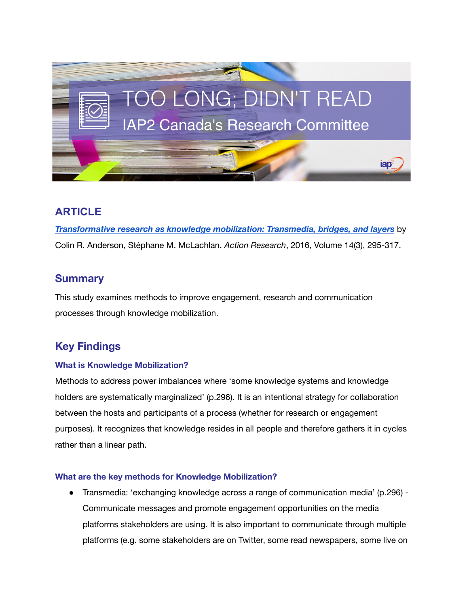

## **ARTICLE**

*[Transformative](https://journals.sagepub.com/doi/abs/10.1177/1476750315616684) research as knowledge mobilization: Transmedia, bridges, and layers* by Colin R. Anderson, Stéphane M. McLachlan. *Action Research*, 2016, Volume 14(3), 295-317.

## **Summary**

This study examines methods to improve engagement, research and communication processes through knowledge mobilization.

# **Key Findings**

#### **What is Knowledge Mobilization?**

Methods to address power imbalances where 'some knowledge systems and knowledge holders are systematically marginalized' (p.296). It is an intentional strategy for collaboration between the hosts and participants of a process (whether for research or engagement purposes). It recognizes that knowledge resides in all people and therefore gathers it in cycles rather than a linear path.

#### **What are the key methods for Knowledge Mobilization?**

● Transmedia: 'exchanging knowledge across a range of communication media' (p.296) - Communicate messages and promote engagement opportunities on the media platforms stakeholders are using. It is also important to communicate through multiple platforms (e.g. some stakeholders are on Twitter, some read newspapers, some live on